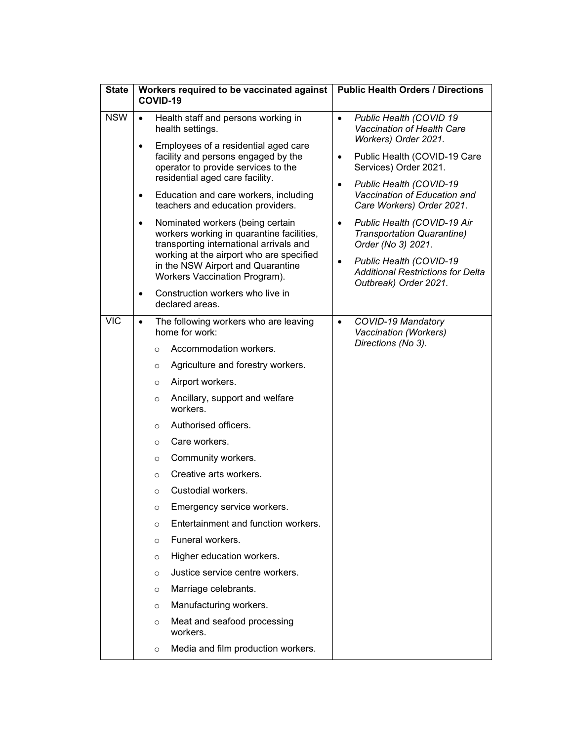| <b>State</b> | Workers required to be vaccinated against<br>COVID-19 |                                                                                                                                                                                                                                                                                                                                                                                                                                                                                                                                                                                                                                                                                                                                        | <b>Public Health Orders / Directions</b>                                                                                                                                                                                                      |  |
|--------------|-------------------------------------------------------|----------------------------------------------------------------------------------------------------------------------------------------------------------------------------------------------------------------------------------------------------------------------------------------------------------------------------------------------------------------------------------------------------------------------------------------------------------------------------------------------------------------------------------------------------------------------------------------------------------------------------------------------------------------------------------------------------------------------------------------|-----------------------------------------------------------------------------------------------------------------------------------------------------------------------------------------------------------------------------------------------|--|
| <b>NSW</b>   | $\bullet$                                             | Health staff and persons working in<br>health settings.                                                                                                                                                                                                                                                                                                                                                                                                                                                                                                                                                                                                                                                                                | Public Health (COVID 19<br>$\bullet$<br>Vaccination of Health Care                                                                                                                                                                            |  |
|              | $\bullet$<br>$\bullet$                                | Employees of a residential aged care<br>facility and persons engaged by the<br>operator to provide services to the<br>residential aged care facility.<br>Education and care workers, including                                                                                                                                                                                                                                                                                                                                                                                                                                                                                                                                         | Workers) Order 2021.<br>Public Health (COVID-19 Care<br>$\bullet$<br>Services) Order 2021.<br>Public Health (COVID-19<br>$\bullet$<br>Vaccination of Education and                                                                            |  |
|              | $\bullet$<br>$\bullet$                                | teachers and education providers.<br>Nominated workers (being certain<br>workers working in quarantine facilities,<br>transporting international arrivals and<br>working at the airport who are specified<br>in the NSW Airport and Quarantine<br>Workers Vaccination Program).<br>Construction workers who live in<br>declared areas.                                                                                                                                                                                                                                                                                                                                                                                                 | Care Workers) Order 2021.<br>Public Health (COVID-19 Air<br>$\bullet$<br><b>Transportation Quarantine)</b><br>Order (No 3) 2021.<br>Public Health (COVID-19<br>$\bullet$<br><b>Additional Restrictions for Delta</b><br>Outbreak) Order 2021. |  |
| <b>VIC</b>   | $\bullet$                                             | The following workers who are leaving<br>home for work:<br>Accommodation workers.<br>$\circ$<br>Agriculture and forestry workers.<br>O<br>Airport workers.<br>$\circ$<br>Ancillary, support and welfare<br>$\circ$<br>workers.<br>Authorised officers.<br>$\circ$<br>Care workers.<br>$\circ$<br>Community workers.<br>$\circ$<br>Creative arts workers.<br>$\circ$<br>Custodial workers.<br>$\circ$<br>Emergency service workers.<br>$\circ$<br>Entertainment and function workers.<br>$\circ$<br>Funeral workers.<br>$\circ$<br>Higher education workers.<br>$\circ$<br>Justice service centre workers.<br>$\circ$<br>Marriage celebrants.<br>$\circ$<br>Manufacturing workers.<br>$\circ$<br>Meat and seafood processing<br>$\circ$ | COVID-19 Mandatory<br>$\bullet$<br>Vaccination (Workers)<br>Directions (No 3).                                                                                                                                                                |  |
|              |                                                       | workers.<br>Media and film production workers.<br>$\circ$                                                                                                                                                                                                                                                                                                                                                                                                                                                                                                                                                                                                                                                                              |                                                                                                                                                                                                                                               |  |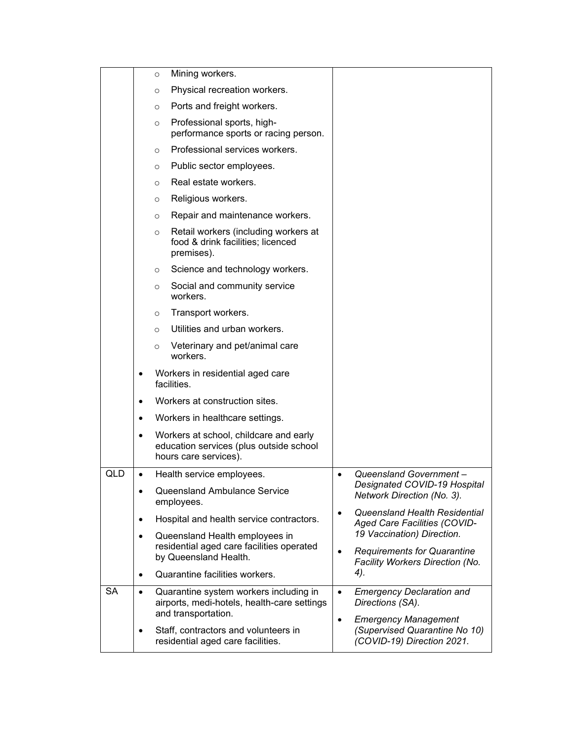|           |           | Mining workers.<br>$\circ$                                                                                   |                                                                                                                         |
|-----------|-----------|--------------------------------------------------------------------------------------------------------------|-------------------------------------------------------------------------------------------------------------------------|
|           |           | Physical recreation workers.<br>O                                                                            |                                                                                                                         |
|           |           | Ports and freight workers.<br>$\circ$                                                                        |                                                                                                                         |
|           |           | Professional sports, high-<br>$\circ$<br>performance sports or racing person.                                |                                                                                                                         |
|           |           | Professional services workers.<br>$\circ$                                                                    |                                                                                                                         |
|           |           | Public sector employees.<br>O                                                                                |                                                                                                                         |
|           |           | Real estate workers.<br>$\circ$                                                                              |                                                                                                                         |
|           |           | Religious workers.<br>$\circ$                                                                                |                                                                                                                         |
|           |           | Repair and maintenance workers.<br>$\circ$                                                                   |                                                                                                                         |
|           |           | Retail workers (including workers at<br>$\circ$<br>food & drink facilities; licenced<br>premises).           |                                                                                                                         |
|           |           | Science and technology workers.<br>$\circ$                                                                   |                                                                                                                         |
|           |           | Social and community service<br>$\circ$<br>workers.                                                          |                                                                                                                         |
|           |           | Transport workers.<br>$\circ$                                                                                |                                                                                                                         |
|           |           | Utilities and urban workers.<br>$\circ$                                                                      |                                                                                                                         |
|           |           | Veterinary and pet/animal care<br>$\circ$<br>workers.                                                        |                                                                                                                         |
|           | $\bullet$ | Workers in residential aged care<br>facilities.                                                              |                                                                                                                         |
|           | $\bullet$ | Workers at construction sites.                                                                               |                                                                                                                         |
|           | $\bullet$ | Workers in healthcare settings.                                                                              |                                                                                                                         |
|           | $\bullet$ | Workers at school, childcare and early<br>education services (plus outside school<br>hours care services).   |                                                                                                                         |
| QLD       | $\bullet$ | Health service employees.                                                                                    | Queensland Government-<br>$\bullet$                                                                                     |
|           | $\bullet$ | Queensland Ambulance Service<br>employees.                                                                   | Designated COVID-19 Hospital<br>Network Direction (No. 3).                                                              |
|           | $\bullet$ | Hospital and health service contractors.                                                                     | Queensland Health Residential<br>$\bullet$<br>Aged Care Facilities (COVID-                                              |
|           | $\bullet$ | Queensland Health employees in                                                                               | 19 Vaccination) Direction.<br><b>Requirements for Quarantine</b><br>$\bullet$<br>Facility Workers Direction (No.<br>4). |
|           |           | residential aged care facilities operated<br>by Queensland Health.                                           |                                                                                                                         |
|           | $\bullet$ | Quarantine facilities workers.                                                                               |                                                                                                                         |
| <b>SA</b> | $\bullet$ | Quarantine system workers including in<br>airports, medi-hotels, health-care settings<br>and transportation. | <b>Emergency Declaration and</b><br>$\bullet$<br>Directions (SA).<br><b>Emergency Management</b><br>$\bullet$           |
|           | $\bullet$ | Staff, contractors and volunteers in<br>residential aged care facilities.                                    | (Supervised Quarantine No 10)<br>(COVID-19) Direction 2021.                                                             |